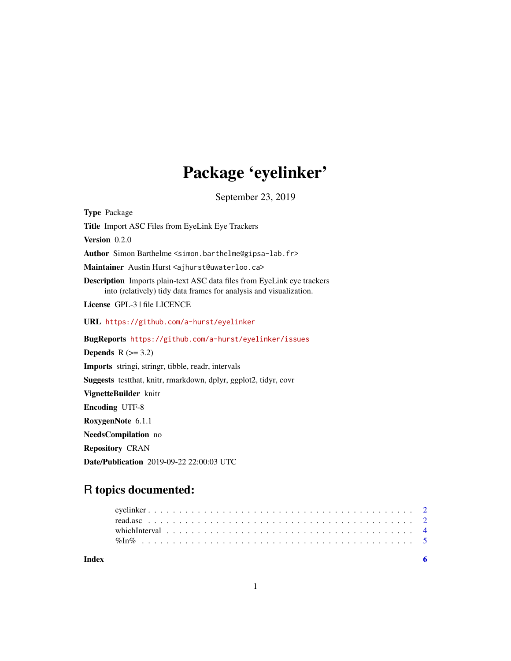## Package 'eyelinker'

September 23, 2019

<span id="page-0-0"></span>Type Package Title Import ASC Files from EyeLink Eye Trackers Version 0.2.0 Author Simon Barthelme <simon.barthelme@gipsa-lab.fr> Maintainer Austin Hurst <ajhurst@uwaterloo.ca> Description Imports plain-text ASC data files from EyeLink eye trackers into (relatively) tidy data frames for analysis and visualization. License GPL-3 | file LICENCE URL <https://github.com/a-hurst/eyelinker> BugReports <https://github.com/a-hurst/eyelinker/issues> **Depends**  $R$  ( $>= 3.2$ ) Imports stringi, stringr, tibble, readr, intervals Suggests testthat, knitr, rmarkdown, dplyr, ggplot2, tidyr, covr VignetteBuilder knitr Encoding UTF-8 RoxygenNote 6.1.1 NeedsCompilation no Repository CRAN

Date/Publication 2019-09-22 22:00:03 UTC

### R topics documented:

| Index |                                                                                                                                                             |  |  |  |  |  |  |  |  |  |  |  |  |  |  |  |  |  |  |  |  |
|-------|-------------------------------------------------------------------------------------------------------------------------------------------------------------|--|--|--|--|--|--|--|--|--|--|--|--|--|--|--|--|--|--|--|--|
|       |                                                                                                                                                             |  |  |  |  |  |  |  |  |  |  |  |  |  |  |  |  |  |  |  |  |
|       | which Interval $\ldots$ , $\ldots$ , $\ldots$ , $\ldots$ , $\ldots$ , $\ldots$ , $\ldots$ , $\ldots$ , $\ldots$ , $\ldots$ , $\ldots$ , $\ldots$ , $\vdots$ |  |  |  |  |  |  |  |  |  |  |  |  |  |  |  |  |  |  |  |  |
|       |                                                                                                                                                             |  |  |  |  |  |  |  |  |  |  |  |  |  |  |  |  |  |  |  |  |
|       |                                                                                                                                                             |  |  |  |  |  |  |  |  |  |  |  |  |  |  |  |  |  |  |  |  |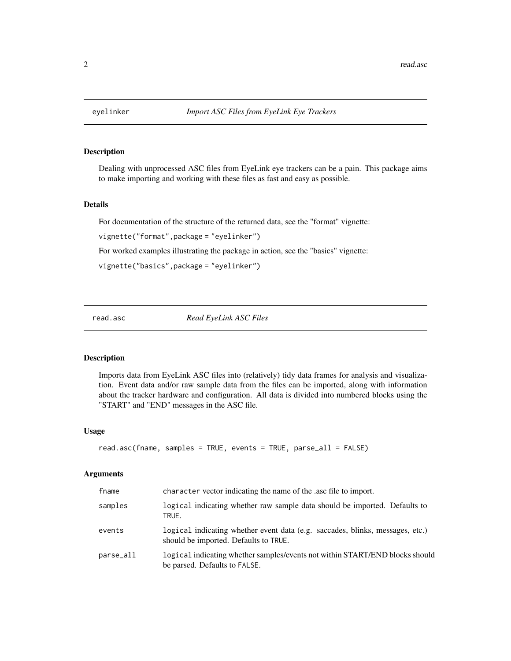#### Description

Dealing with unprocessed ASC files from EyeLink eye trackers can be a pain. This package aims to make importing and working with these files as fast and easy as possible.

#### Details

For documentation of the structure of the returned data, see the "format" vignette:

vignette("format",package = "eyelinker")

For worked examples illustrating the package in action, see the "basics" vignette:

```
vignette("basics",package = "eyelinker")
```
read.asc *Read EyeLink ASC Files*

#### Description

Imports data from EyeLink ASC files into (relatively) tidy data frames for analysis and visualization. Event data and/or raw sample data from the files can be imported, along with information about the tracker hardware and configuration. All data is divided into numbered blocks using the "START" and "END" messages in the ASC file.

#### Usage

```
read.asc(fname, samples = TRUE, events = TRUE, parse_all = FALSE)
```
#### Arguments

| fname     | character vector indicating the name of the asc file to import.                                                        |
|-----------|------------------------------------------------------------------------------------------------------------------------|
| samples   | logical indicating whether raw sample data should be imported. Defaults to<br>TRUE.                                    |
| events    | logical indicating whether event data (e.g. saccades, blinks, messages, etc.)<br>should be imported. Defaults to TRUE. |
| parse_all | logical indicating whether samples/events not within START/END blocks should<br>be parsed. Defaults to FALSE.          |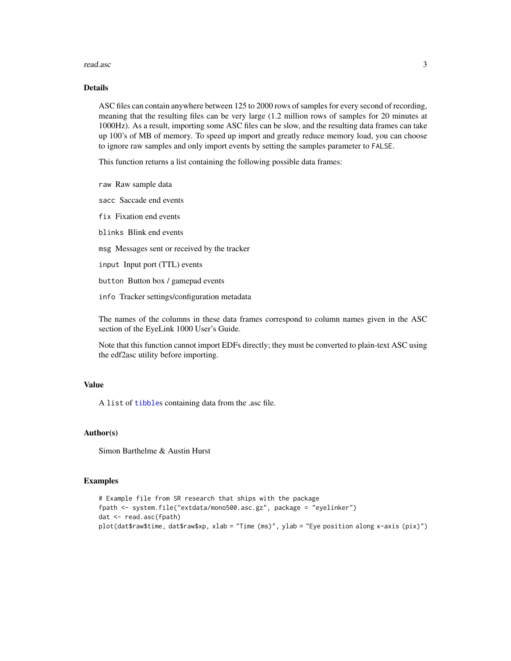#### <span id="page-2-0"></span>read.asc 3

#### Details

ASC files can contain anywhere between 125 to 2000 rows of samples for every second of recording, meaning that the resulting files can be very large (1.2 million rows of samples for 20 minutes at 1000Hz). As a result, importing some ASC files can be slow, and the resulting data frames can take up 100's of MB of memory. To speed up import and greatly reduce memory load, you can choose to ignore raw samples and only import events by setting the samples parameter to FALSE.

This function returns a list containing the following possible data frames:

raw Raw sample data

sacc Saccade end events

fix Fixation end events

blinks Blink end events

msg Messages sent or received by the tracker

input Input port (TTL) events

button Button box / gamepad events

info Tracker settings/configuration metadata

The names of the columns in these data frames correspond to column names given in the ASC section of the EyeLink 1000 User's Guide.

Note that this function cannot import EDFs directly; they must be converted to plain-text ASC using the edf2asc utility before importing.

#### Value

A list of [tibble](#page-0-0)s containing data from the .asc file.

#### Author(s)

Simon Barthelme & Austin Hurst

#### Examples

```
# Example file from SR research that ships with the package
fpath <- system.file("extdata/mono500.asc.gz", package = "eyelinker")
dat <- read.asc(fpath)
plot(dat$raw$time, dat$raw$xp, xlab = "Time (ms)", ylab = "Eye position along x-axis (pix)")
```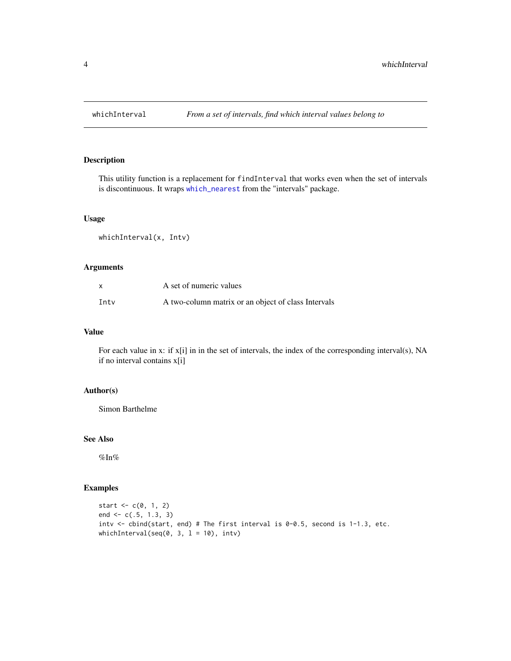<span id="page-3-0"></span>

#### Description

This utility function is a replacement for findInterval that works even when the set of intervals is discontinuous. It wraps [which\\_nearest](#page-0-0) from the "intervals" package.

#### Usage

whichInterval(x, Intv)

#### Arguments

| x    | A set of numeric values                             |
|------|-----------------------------------------------------|
| Intv | A two-column matrix or an object of class Intervals |

#### Value

For each value in x: if x[i] in in the set of intervals, the index of the corresponding interval(s), NA if no interval contains x[i]

#### Author(s)

Simon Barthelme

#### See Also

%In%

#### Examples

```
start <- c(0, 1, 2)end <- c(.5, 1.3, 3)
intv <- cbind(start, end) # The first interval is 0-0.5, second is 1-1.3, etc.
whichInterval(seq(0, 3, 1 = 10), intv)
```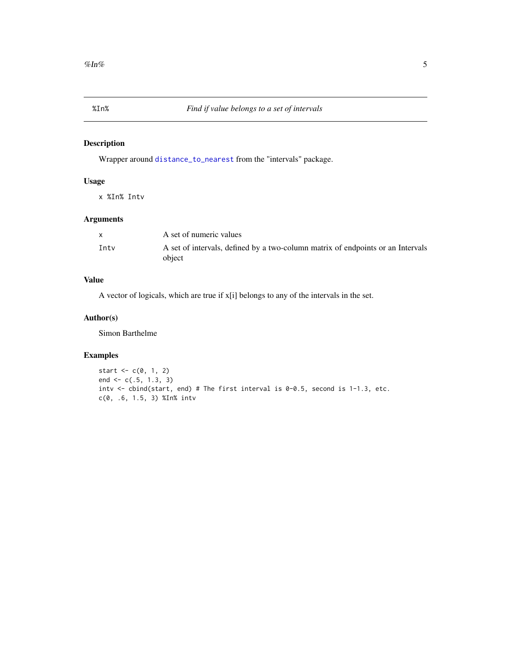<span id="page-4-0"></span>

#### Description

Wrapper around [distance\\_to\\_nearest](#page-0-0) from the "intervals" package.

#### Usage

x %In% Intv

#### Arguments

|      | A set of numeric values                                                         |
|------|---------------------------------------------------------------------------------|
| Inty | A set of intervals, defined by a two-column matrix of endpoints or an Intervals |
|      | object                                                                          |

#### Value

A vector of logicals, which are true if x[i] belongs to any of the intervals in the set.

#### Author(s)

Simon Barthelme

#### Examples

```
start <-c(0, 1, 2)end <- c(.5, 1.3, 3)
intv <- cbind(start, end) # The first interval is 0-0.5, second is 1-1.3, etc.
c(0, .6, 1.5, 3) %In% intv
```